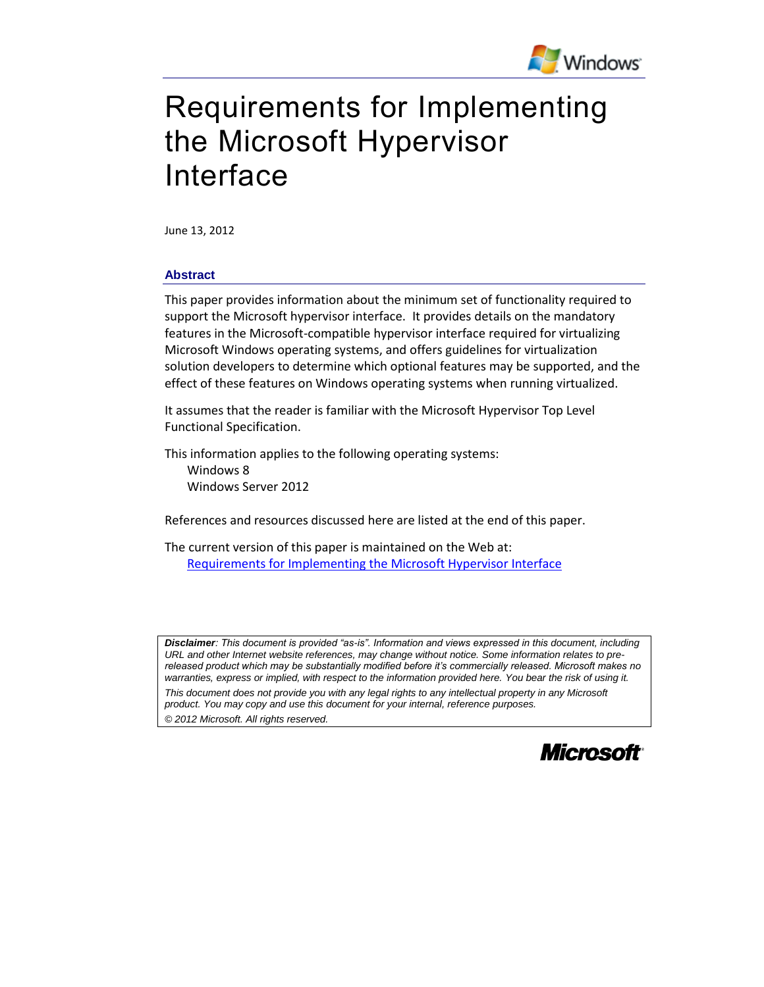

# Requirements for Implementing the Microsoft Hypervisor Interface

June 13, 2012

#### **Abstract**

This paper provides information about the minimum set of functionality required to support the Microsoft hypervisor interface. It provides details on the mandatory features in the Microsoft-compatible hypervisor interface required for virtualizing Microsoft Windows operating systems, and offers guidelines for virtualization solution developers to determine which optional features may be supported, and the effect of these features on Windows operating systems when running virtualized.

It assumes that the reader is familiar with the Microsoft Hypervisor Top Level Functional Specification.

This information applies to the following operating systems: Windows 8 Windows Server 2012

References and resources discussed here are listed at the end of this paper.

The current version of this paper is maintained on the Web at: [Requirements for Implementing the Microsoft Hypervisor Interface](https://github.com/Microsoft/Virtualization-Documentation/raw/master/tlfs/Requirements%20for%20Implementing%20the%20Microsoft%20Hypervisor%20Interface.pdf)

*Disclaimer: This document is provided "as-is". Information and views expressed in this document, including URL and other Internet website references, may change without notice. Some information relates to prereleased product which may be substantially modified before it's commercially released. Microsoft makes no warranties, express or implied, with respect to the information provided here. You bear the risk of using it.*

*This document does not provide you with any legal rights to any intellectual property in any Microsoft product. You may copy and use this document for your internal, reference purposes.* 

*© 2012 Microsoft. All rights reserved.*

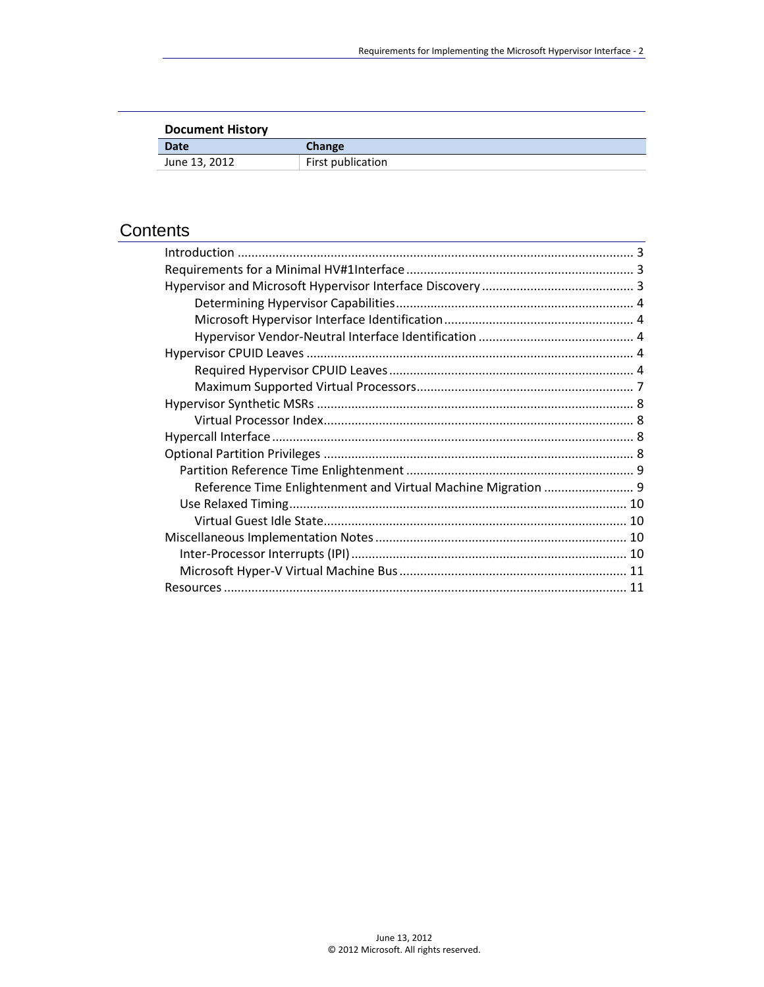| <b>Document History</b> |                   |
|-------------------------|-------------------|
| <b>Date</b>             | Change            |
| June 13, 2012           | First publication |

# **Contents**

| Reference Time Enlightenment and Virtual Machine Migration  9 |  |
|---------------------------------------------------------------|--|
|                                                               |  |
|                                                               |  |
|                                                               |  |
|                                                               |  |
|                                                               |  |
|                                                               |  |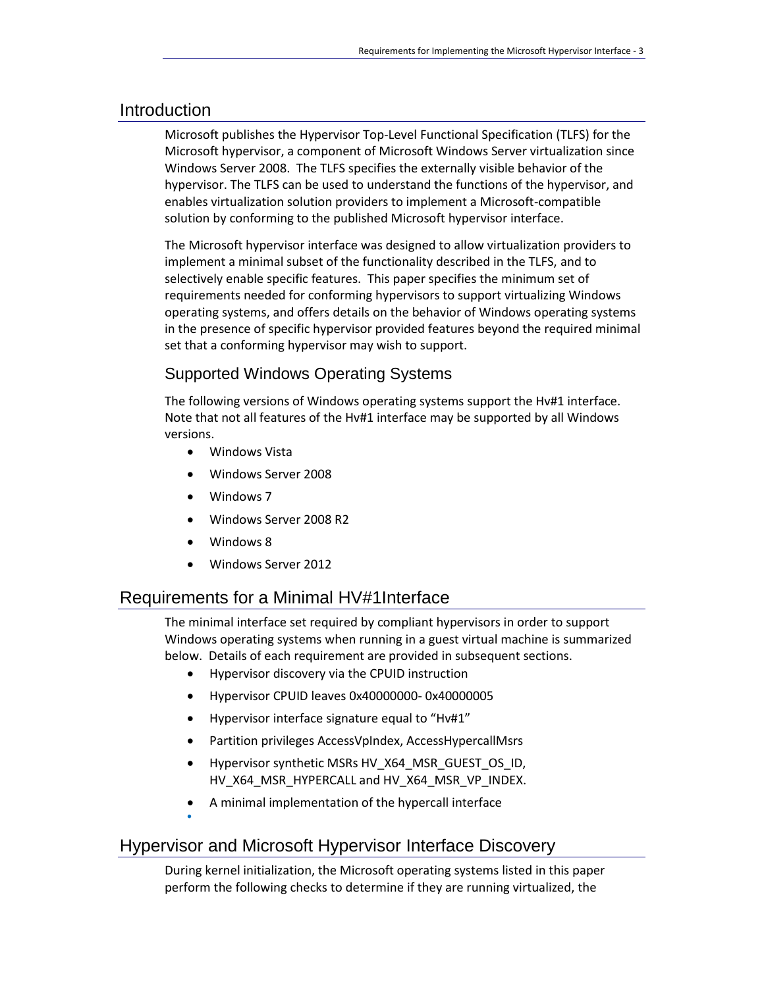### <span id="page-2-0"></span>Introduction

Microsoft publishes the Hypervisor Top-Level Functional Specification (TLFS) for the Microsoft hypervisor, a component of Microsoft Windows Server virtualization since Windows Server 2008. The TLFS specifies the externally visible behavior of the hypervisor. The TLFS can be used to understand the functions of the hypervisor, and enables virtualization solution providers to implement a Microsoft-compatible solution by conforming to the published Microsoft hypervisor interface.

The Microsoft hypervisor interface was designed to allow virtualization providers to implement a minimal subset of the functionality described in the TLFS, and to selectively enable specific features. This paper specifies the minimum set of requirements needed for conforming hypervisors to support virtualizing Windows operating systems, and offers details on the behavior of Windows operating systems in the presence of specific hypervisor provided features beyond the required minimal set that a conforming hypervisor may wish to support.

## Supported Windows Operating Systems

The following versions of Windows operating systems support the Hv#1 interface. Note that not all features of the Hv#1 interface may be supported by all Windows versions.

- Windows Vista
- Windows Server 2008
- Windows 7
- Windows Server 2008 R2
- Windows 8

 $\bullet$ 

Windows Server 2012

## <span id="page-2-1"></span>Requirements for a Minimal HV#1Interface

The minimal interface set required by compliant hypervisors in order to support Windows operating systems when running in a guest virtual machine is summarized below. Details of each requirement are provided in subsequent sections.

- Hypervisor discovery via the CPUID instruction
- Hypervisor CPUID leaves 0x40000000- 0x40000005
- Hypervisor interface signature equal to "Hv#1"
- Partition privileges AccessVpIndex, AccessHypercallMsrs
- Hypervisor synthetic MSRs HV\_X64\_MSR\_GUEST\_OS\_ID, HV\_X64\_MSR\_HYPERCALL and HV\_X64\_MSR\_VP\_INDEX.
- A minimal implementation of the hypercall interface

# <span id="page-2-2"></span>Hypervisor and Microsoft Hypervisor Interface Discovery

During kernel initialization, the Microsoft operating systems listed in this paper perform the following checks to determine if they are running virtualized, the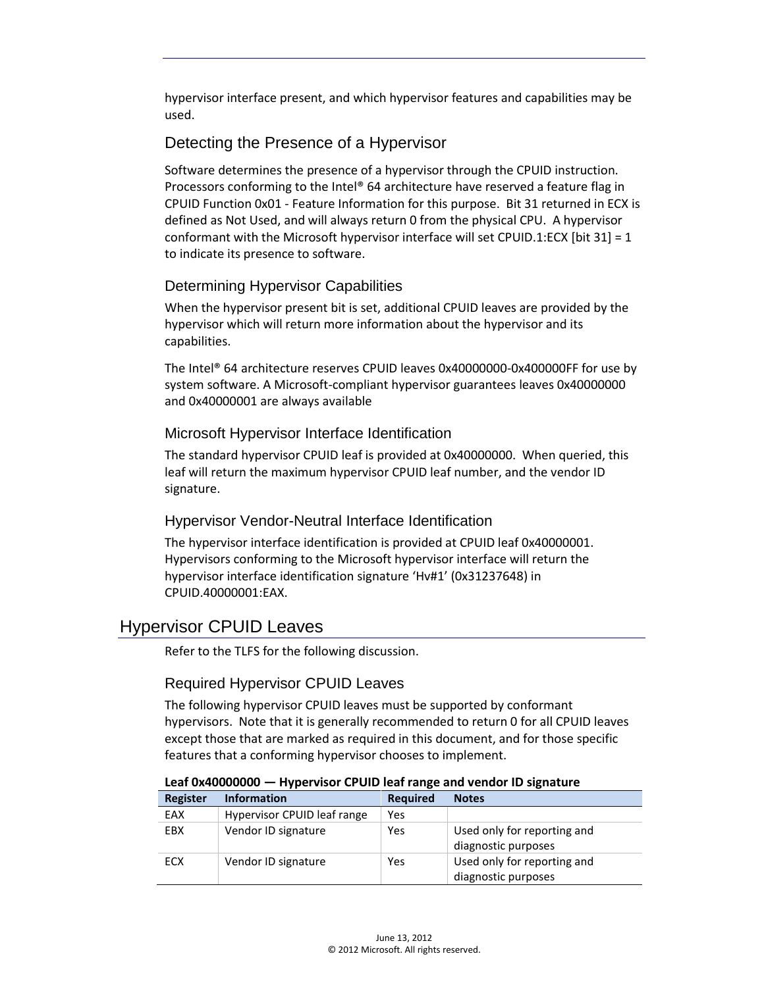hypervisor interface present, and which hypervisor features and capabilities may be used.

# Detecting the Presence of a Hypervisor

Software determines the presence of a hypervisor through the CPUID instruction. Processors conforming to the Intel® 64 architecture have reserved a feature flag in CPUID Function 0x01 - Feature Information for this purpose. Bit 31 returned in ECX is defined as Not Used, and will always return 0 from the physical CPU. A hypervisor conformant with the Microsoft hypervisor interface will set CPUID.1:ECX [bit 31] = 1 to indicate its presence to software.

### <span id="page-3-0"></span>Determining Hypervisor Capabilities

When the hypervisor present bit is set, additional CPUID leaves are provided by the hypervisor which will return more information about the hypervisor and its capabilities.

The Intel® 64 architecture reserves CPUID leaves 0x40000000-0x400000FF for use by system software. A Microsoft-compliant hypervisor guarantees leaves 0x40000000 and 0x40000001 are always available

### <span id="page-3-1"></span>Microsoft Hypervisor Interface Identification

The standard hypervisor CPUID leaf is provided at 0x40000000. When queried, this leaf will return the maximum hypervisor CPUID leaf number, and the vendor ID signature.

## <span id="page-3-2"></span>Hypervisor Vendor-Neutral Interface Identification

The hypervisor interface identification is provided at CPUID leaf 0x40000001. Hypervisors conforming to the Microsoft hypervisor interface will return the hypervisor interface identification signature 'Hv#1' (0x31237648) in CPUID.40000001:EAX.

# <span id="page-3-3"></span>Hypervisor CPUID Leaves

Refer to the TLFS for the following discussion.

## <span id="page-3-4"></span>Required Hypervisor CPUID Leaves

The following hypervisor CPUID leaves must be supported by conformant hypervisors. Note that it is generally recommended to return 0 for all CPUID leaves except those that are marked as required in this document, and for those specific features that a conforming hypervisor chooses to implement.

| ---- --- -------- |                             |                 |                                                    |
|-------------------|-----------------------------|-----------------|----------------------------------------------------|
| Register          | <b>Information</b>          | <b>Required</b> | <b>Notes</b>                                       |
| EAX               | Hypervisor CPUID leaf range | Yes             |                                                    |
| EBX               | Vendor ID signature         | Yes             | Used only for reporting and<br>diagnostic purposes |
| ECX               | Vendor ID signature         | Yes             | Used only for reporting and<br>diagnostic purposes |

#### **Leaf 0x40000000 — Hypervisor CPUID leaf range and vendor ID signature**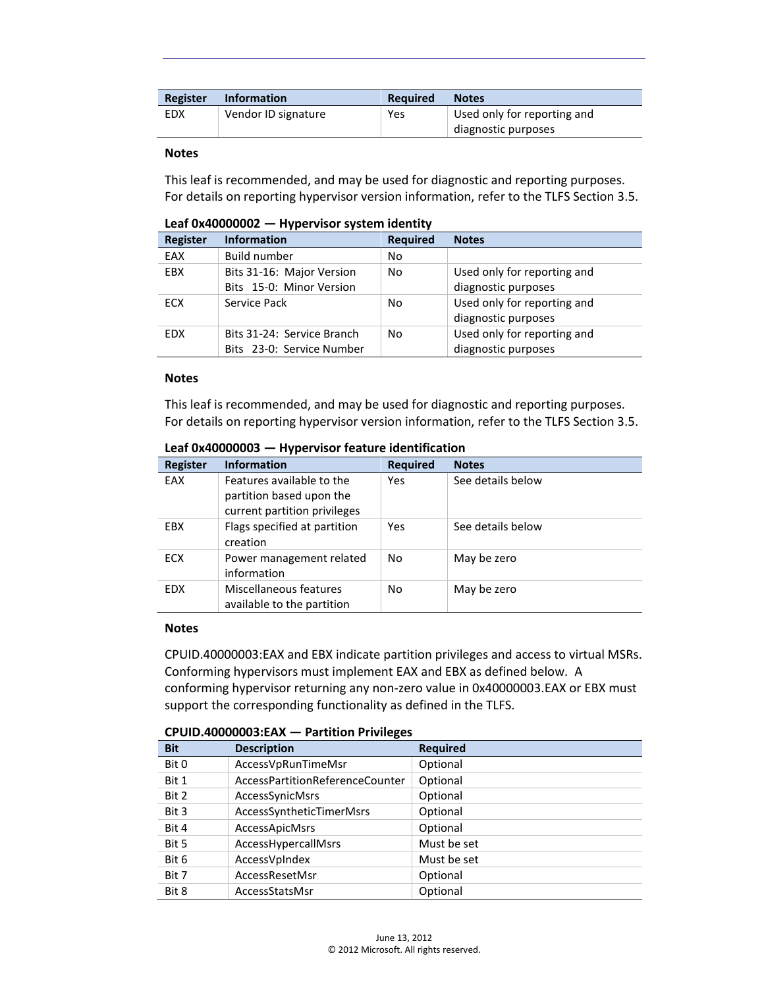| Register | <b>Information</b>  | <b>Required</b> | <b>Notes</b>                                       |
|----------|---------------------|-----------------|----------------------------------------------------|
| EDX      | Vendor ID signature | Yes             | Used only for reporting and<br>diagnostic purposes |

#### **Notes**

This leaf is recommended, and may be used for diagnostic and reporting purposes. For details on reporting hypervisor version information, refer to the TLFS Section 3.5.

| LCGI UA <del>T</del> UUUUUUL<br>$-$ True Labor System Refinity |                                                         |                 |                                                    |
|----------------------------------------------------------------|---------------------------------------------------------|-----------------|----------------------------------------------------|
| <b>Register</b>                                                | <b>Information</b>                                      | <b>Required</b> | <b>Notes</b>                                       |
| EAX                                                            | Build number                                            | No              |                                                    |
| <b>EBX</b>                                                     | Bits 31-16: Major Version<br>Bits 15-0: Minor Version   | No              | Used only for reporting and<br>diagnostic purposes |
| ECX                                                            | Service Pack                                            | No              | Used only for reporting and<br>diagnostic purposes |
| <b>EDX</b>                                                     | Bits 31-24: Service Branch<br>Bits 23-0: Service Number | No              | Used only for reporting and<br>diagnostic purposes |

### **Leaf 0x40000002 — Hypervisor system identity**

#### **Notes**

This leaf is recommended, and may be used for diagnostic and reporting purposes. For details on reporting hypervisor version information, refer to the TLFS Section 3.5.

| <b>Register</b> | <b>Information</b>                                                                    | <b>Required</b> | <b>Notes</b>      |
|-----------------|---------------------------------------------------------------------------------------|-----------------|-------------------|
| EAX             | Features available to the<br>partition based upon the<br>current partition privileges | Yes             | See details below |
| <b>EBX</b>      | Flags specified at partition<br>creation                                              | Yes             | See details below |
| <b>ECX</b>      | Power management related<br>information                                               | No              | May be zero       |
| <b>EDX</b>      | Miscellaneous features<br>available to the partition                                  | No              | May be zero       |

**Leaf 0x40000003 — Hypervisor feature identification**

#### **Notes**

CPUID.40000003:EAX and EBX indicate partition privileges and access to virtual MSRs. Conforming hypervisors must implement EAX and EBX as defined below. A conforming hypervisor returning any non-zero value in 0x40000003.EAX or EBX must support the corresponding functionality as defined in the TLFS.

| <b>Bit</b> | <b>Description</b>              | <b>Required</b> |  |  |
|------------|---------------------------------|-----------------|--|--|
| Bit 0      | AccessVpRunTimeMsr              | Optional        |  |  |
| Bit 1      | AccessPartitionReferenceCounter | Optional        |  |  |
| Bit 2      | AccessSynicMsrs                 | Optional        |  |  |
| Bit 3      | AccessSyntheticTimerMsrs        | Optional        |  |  |
| Bit 4      | <b>AccessApicMsrs</b>           | Optional        |  |  |
| Bit 5      | AccessHypercallMsrs             | Must be set     |  |  |
| Bit 6      | AccessVpIndex                   | Must be set     |  |  |
| Bit 7      | AccessResetMsr                  | Optional        |  |  |
| Bit 8      | AccessStatsMsr                  | Optional        |  |  |

**CPUID.40000003:EAX — Partition Privileges**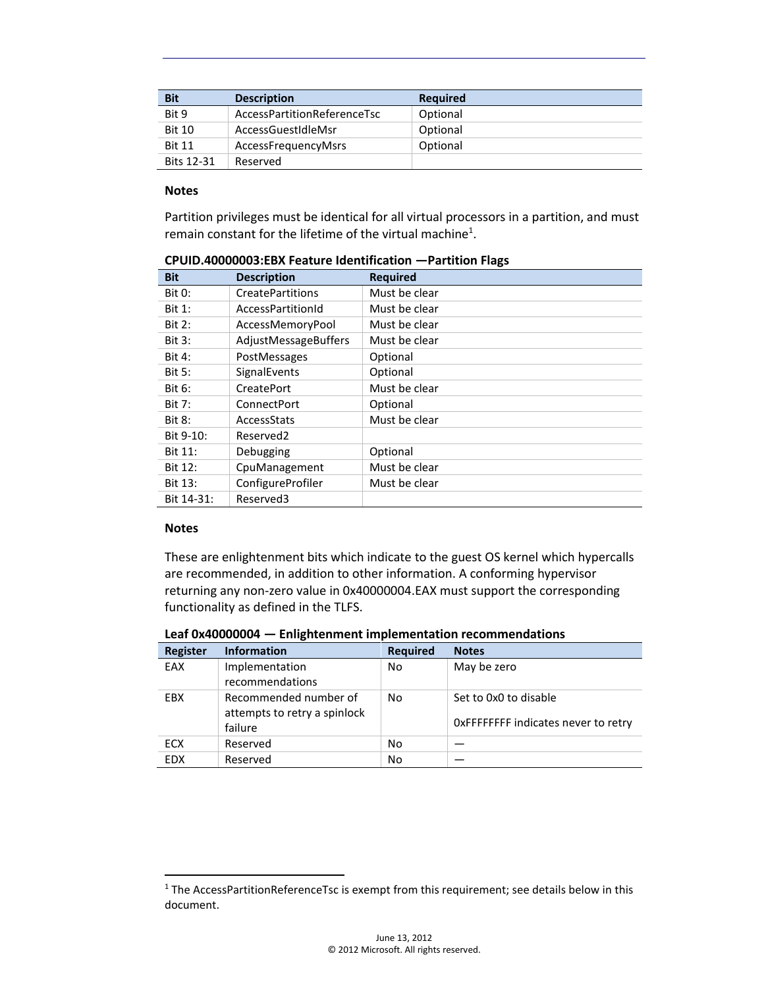| <b>Bit</b>        | <b>Description</b>          | <b>Required</b> |
|-------------------|-----------------------------|-----------------|
| Bit 9             | AccessPartitionReferenceTsc | Optional        |
| <b>Bit 10</b>     | AccessGuestIdleMsr          | Optional        |
| <b>Bit 11</b>     | AccessFrequencyMsrs         | Optional        |
| <b>Bits 12-31</b> | Reserved                    |                 |

#### **Notes**

Partition privileges must be identical for all virtual processors in a partition, and must remain constant for the lifetime of the virtual machine<sup>1</sup>.

| <b>Bit</b>    | <b>Description</b>      | <b>Required</b> |
|---------------|-------------------------|-----------------|
| <b>Bit 0:</b> | <b>CreatePartitions</b> | Must be clear   |
| <b>Bit 1:</b> | AccessPartitionId       | Must be clear   |
| <b>Bit 2:</b> | AccessMemoryPool        | Must be clear   |
| <b>Bit 3:</b> | AdjustMessageBuffers    | Must be clear   |
| <b>Bit 4:</b> | PostMessages            | Optional        |
| <b>Bit 5:</b> | SignalEvents            | Optional        |
| Bit 6:        | <b>CreatePort</b>       | Must be clear   |
| <b>Bit 7:</b> | ConnectPort             | Optional        |
| <b>Bit 8:</b> | AccessStats             | Must be clear   |
| Bit 9-10:     | Reserved <sub>2</sub>   |                 |
| Bit 11:       | Debugging               | Optional        |
| Bit 12:       | CpuManagement           | Must be clear   |
| Bit 13:       | ConfigureProfiler       | Must be clear   |
| Bit 14-31:    | Reserved3               |                 |

**CPUID.40000003:EBX Feature Identification —Partition Flags**

#### **Notes**

l

These are enlightenment bits which indicate to the guest OS kernel which hypercalls are recommended, in addition to other information. A conforming hypervisor returning any non-zero value in 0x40000004.EAX must support the corresponding functionality as defined in the TLFS.

| Register   | <b>Information</b>                                               | <b>Required</b> | <b>Notes</b>                                                 |
|------------|------------------------------------------------------------------|-----------------|--------------------------------------------------------------|
| EAX        | Implementation<br>recommendations                                | No              | May be zero                                                  |
| <b>EBX</b> | Recommended number of<br>attempts to retry a spinlock<br>failure | No              | Set to 0x0 to disable<br>OxFFFFFFFF indicates never to retry |
| <b>ECX</b> | Reserved                                                         | No              |                                                              |
| <b>EDX</b> | Reserved                                                         | No              |                                                              |

<sup>&</sup>lt;sup>1</sup> The AccessPartitionReferenceTsc is exempt from this requirement; see details below in this document.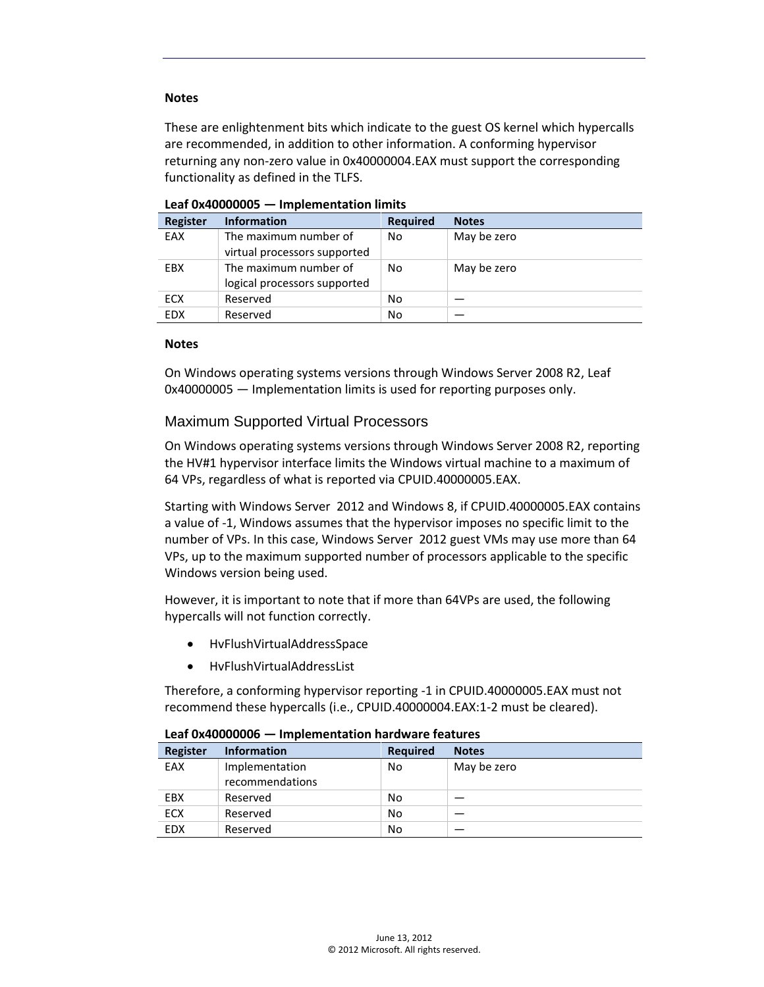#### **Notes**

These are enlightenment bits which indicate to the guest OS kernel which hypercalls are recommended, in addition to other information. A conforming hypervisor returning any non-zero value in 0x40000004.EAX must support the corresponding functionality as defined in the TLFS.

| <b>Register</b> | <b>Information</b>           | <b>Required</b> | <b>Notes</b> |
|-----------------|------------------------------|-----------------|--------------|
| EAX             | The maximum number of        | No              | May be zero  |
|                 | virtual processors supported |                 |              |
| EBX             | The maximum number of        | No              | May be zero  |
|                 | logical processors supported |                 |              |
| ECX             | Reserved                     | No              |              |
| <b>EDX</b>      | Reserved                     | No              |              |

**Leaf 0x40000005 — Implementation limits**

#### **Notes**

On Windows operating systems versions through Windows Server 2008 R2, Leaf 0x40000005 — Implementation limits is used for reporting purposes only.

#### <span id="page-6-0"></span>Maximum Supported Virtual Processors

On Windows operating systems versions through Windows Server 2008 R2, reporting the HV#1 hypervisor interface limits the Windows virtual machine to a maximum of 64 VPs, regardless of what is reported via CPUID.40000005.EAX.

Starting with Windows Server 2012 and Windows 8, if CPUID.40000005.EAX contains a value of -1, Windows assumes that the hypervisor imposes no specific limit to the number of VPs. In this case, Windows Server 2012 guest VMs may use more than 64 VPs, up to the maximum supported number of processors applicable to the specific Windows version being used.

However, it is important to note that if more than 64VPs are used, the following hypercalls will not function correctly.

- HvFlushVirtualAddressSpace
- HvFlushVirtualAddressList

Therefore, a conforming hypervisor reporting -1 in CPUID.40000005.EAX must not recommend these hypercalls (i.e., CPUID.40000004.EAX:1-2 must be cleared).

| Register   | <b>Information</b>                | <b>Required</b> | <b>Notes</b> |
|------------|-----------------------------------|-----------------|--------------|
| EAX        | Implementation<br>recommendations | No              | May be zero  |
| EBX        | Reserved                          | No              |              |
| <b>ECX</b> | Reserved                          | No              |              |
| <b>EDX</b> | Reserved                          | No              |              |

**Leaf 0x40000006 — Implementation hardware features**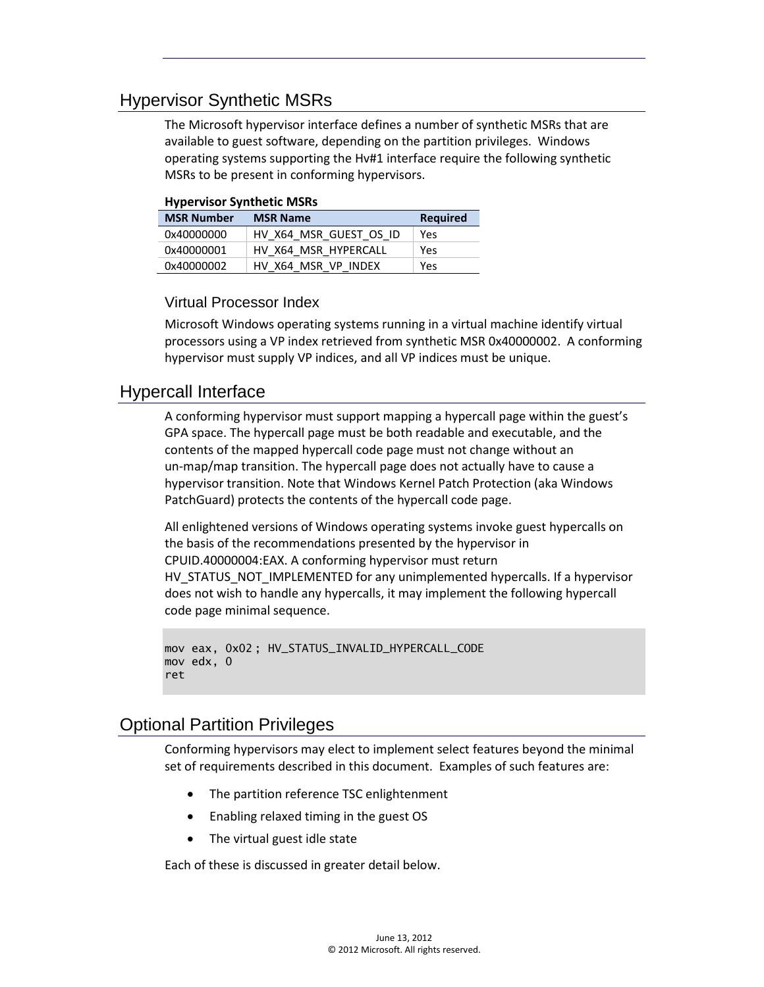# <span id="page-7-0"></span>Hypervisor Synthetic MSRs

The Microsoft hypervisor interface defines a number of synthetic MSRs that are available to guest software, depending on the partition privileges. Windows operating systems supporting the Hv#1 interface require the following synthetic MSRs to be present in conforming hypervisors.

#### **Hypervisor Synthetic MSRs**

| <b>MSR Number</b> | <b>MSR Name</b>        | Required |
|-------------------|------------------------|----------|
| 0x40000000        | HV X64 MSR GUEST OS ID | Yes      |
| 0x40000001        | HV X64 MSR HYPERCALL   | Yes      |
| 0x40000002        | HV X64 MSR VP INDEX    | Yes      |

<span id="page-7-1"></span>Virtual Processor Index

Microsoft Windows operating systems running in a virtual machine identify virtual processors using a VP index retrieved from synthetic MSR 0x40000002. A conforming hypervisor must supply VP indices, and all VP indices must be unique.

### <span id="page-7-2"></span>Hypercall Interface

A conforming hypervisor must support mapping a hypercall page within the guest's GPA space. The hypercall page must be both readable and executable, and the contents of the mapped hypercall code page must not change without an un-map/map transition. The hypercall page does not actually have to cause a hypervisor transition. Note that Windows Kernel Patch Protection (aka Windows PatchGuard) protects the contents of the hypercall code page.

All enlightened versions of Windows operating systems invoke guest hypercalls on the basis of the recommendations presented by the hypervisor in CPUID.40000004:EAX. A conforming hypervisor must return HV\_STATUS\_NOT\_IMPLEMENTED for any unimplemented hypercalls. If a hypervisor does not wish to handle any hypercalls, it may implement the following hypercall code page minimal sequence.

```
mov eax, 0x02 ; HV_STATUS_INVALID_HYPERCALL_CODE
mov edx, 0
ret
```
# <span id="page-7-3"></span>Optional Partition Privileges

Conforming hypervisors may elect to implement select features beyond the minimal set of requirements described in this document. Examples of such features are:

- The partition reference TSC enlightenment
- Enabling relaxed timing in the guest OS
- The virtual guest idle state

Each of these is discussed in greater detail below.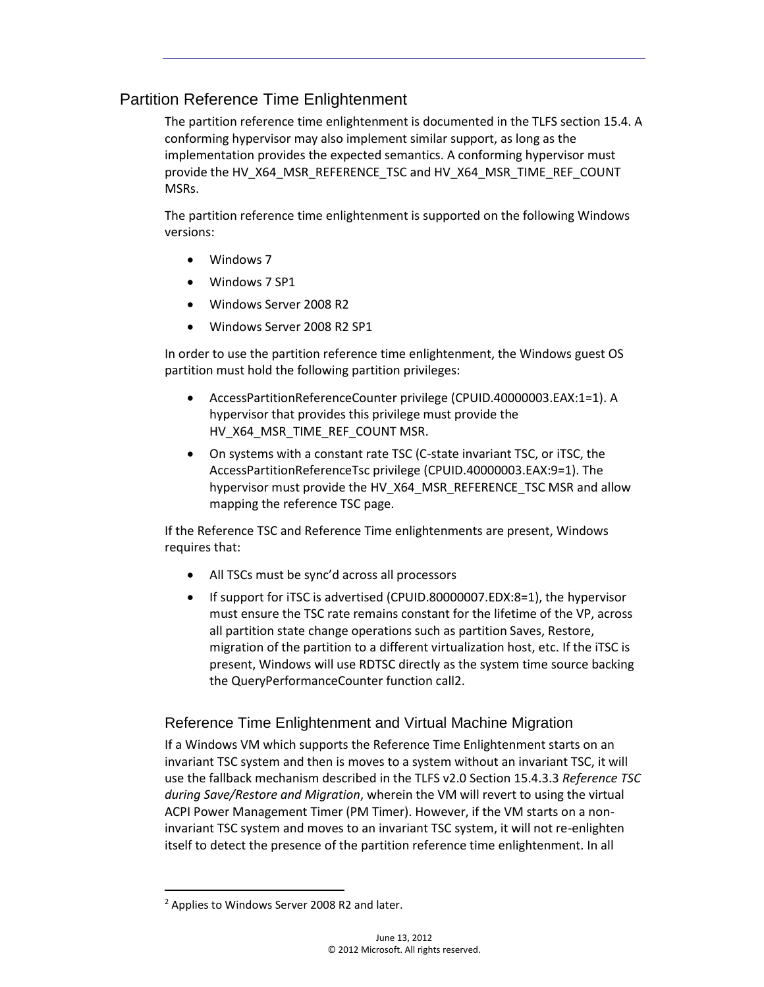## <span id="page-8-0"></span>Partition Reference Time Enlightenment

The partition reference time enlightenment is documented in the TLFS section 15.4. A conforming hypervisor may also implement similar support, as long as the implementation provides the expected semantics. A conforming hypervisor must provide the HV\_X64\_MSR\_REFERENCE\_TSC and HV\_X64\_MSR\_TIME\_REF\_COUNT MSRs.

The partition reference time enlightenment is supported on the following Windows versions:

- Windows 7
- Windows 7 SP1
- Windows Server 2008 R2
- Windows Server 2008 R2 SP1

In order to use the partition reference time enlightenment, the Windows guest OS partition must hold the following partition privileges:

- AccessPartitionReferenceCounter privilege (CPUID.40000003.EAX:1=1). A hypervisor that provides this privilege must provide the HV\_X64\_MSR\_TIME\_REF\_COUNT MSR.
- On systems with a constant rate TSC (C-state invariant TSC, or iTSC, the AccessPartitionReferenceTsc privilege (CPUID.40000003.EAX:9=1). The hypervisor must provide the HV\_X64\_MSR\_REFERENCE\_TSC MSR and allow mapping the reference TSC page.

If the Reference TSC and Reference Time enlightenments are present, Windows requires that:

- All TSCs must be sync'd across all processors
- If support for iTSC is advertised (CPUID.80000007.EDX:8=1), the hypervisor must ensure the TSC rate remains constant for the lifetime of the VP, across all partition state change operations such as partition Saves, Restore, migration of the partition to a different virtualization host, etc. If the iTSC is present, Windows will use RDTSC directly as the system time source backing the QueryPerformanceCounter function call2.

## <span id="page-8-1"></span>Reference Time Enlightenment and Virtual Machine Migration

If a Windows VM which supports the Reference Time Enlightenment starts on an invariant TSC system and then is moves to a system without an invariant TSC, it will use the fallback mechanism described in the TLFS v2.0 Section 15.4.3.3 *Reference TSC during Save/Restore and Migration*, wherein the VM will revert to using the virtual ACPI Power Management Timer (PM Timer). However, if the VM starts on a noninvariant TSC system and moves to an invariant TSC system, it will not re-enlighten itself to detect the presence of the partition reference time enlightenment. In all

 $\overline{\phantom{a}}$ 

<sup>&</sup>lt;sup>2</sup> Applies to Windows Server 2008 R2 and later.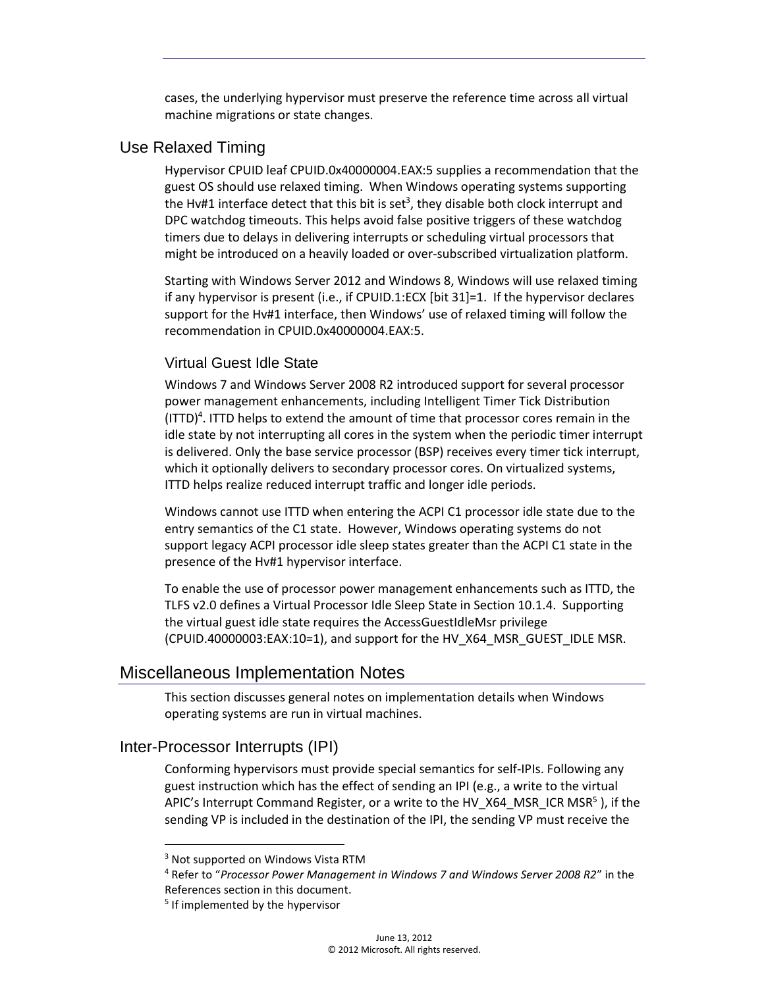cases, the underlying hypervisor must preserve the reference time across all virtual machine migrations or state changes.

### <span id="page-9-0"></span>Use Relaxed Timing

Hypervisor CPUID leaf CPUID.0x40000004.EAX:5 supplies a recommendation that the guest OS should use relaxed timing. When Windows operating systems supporting the Hv#1 interface detect that this bit is set<sup>3</sup>, they disable both clock interrupt and DPC watchdog timeouts. This helps avoid false positive triggers of these watchdog timers due to delays in delivering interrupts or scheduling virtual processors that might be introduced on a heavily loaded or over-subscribed virtualization platform.

Starting with Windows Server 2012 and Windows 8, Windows will use relaxed timing if any hypervisor is present (i.e., if CPUID.1:ECX [bit 31]=1. If the hypervisor declares support for the Hv#1 interface, then Windows' use of relaxed timing will follow the recommendation in CPUID.0x40000004.EAX:5.

### <span id="page-9-1"></span>Virtual Guest Idle State

Windows 7 and Windows Server 2008 R2 introduced support for several processor power management enhancements, including Intelligent Timer Tick Distribution (ITTD)<sup>4</sup> . ITTD helps to extend the amount of time that processor cores remain in the idle state by not interrupting all cores in the system when the periodic timer interrupt is delivered. Only the base service processor (BSP) receives every timer tick interrupt, which it optionally delivers to secondary processor cores. On virtualized systems, ITTD helps realize reduced interrupt traffic and longer idle periods.

Windows cannot use ITTD when entering the ACPI C1 processor idle state due to the entry semantics of the C1 state. However, Windows operating systems do not support legacy ACPI processor idle sleep states greater than the ACPI C1 state in the presence of the Hv#1 hypervisor interface.

To enable the use of processor power management enhancements such as ITTD, the TLFS v2.0 defines a Virtual Processor Idle Sleep State in Section 10.1.4. Supporting the virtual guest idle state requires the AccessGuestIdleMsr privilege (CPUID.40000003:EAX:10=1), and support for the HV\_X64\_MSR\_GUEST\_IDLE MSR.

## <span id="page-9-2"></span>Miscellaneous Implementation Notes

This section discusses general notes on implementation details when Windows operating systems are run in virtual machines.

## <span id="page-9-3"></span>Inter-Processor Interrupts (IPI)

 $\overline{a}$ 

Conforming hypervisors must provide special semantics for self-IPIs. Following any guest instruction which has the effect of sending an IPI (e.g., a write to the virtual APIC's Interrupt Command Register, or a write to the HV\_X64\_MSR\_ICR MSR<sup>5</sup>), if the sending VP is included in the destination of the IPI, the sending VP must receive the

<sup>&</sup>lt;sup>3</sup> Not supported on Windows Vista RTM

<sup>4</sup> Refer to "*Processor Power Management in Windows 7 and Windows Server 2008 R2*" in the References section in this document.

<sup>&</sup>lt;sup>5</sup> If implemented by the hypervisor